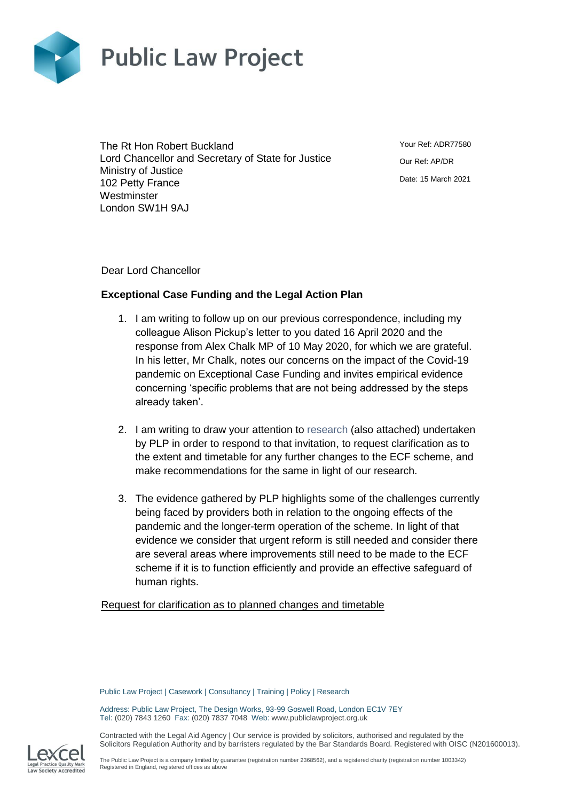

The Rt Hon Robert Buckland Lord Chancellor and Secretary of State for Justice Ministry of Justice 102 Petty France **Westminster** London SW1H 9AJ

Your Ref: ADR77580 Our Ref: AP/DR Date: 15 March 2021

Dear Lord Chancellor

## **Exceptional Case Funding and the Legal Action Plan**

- 1. I am writing to follow up on our previous correspondence, including my colleague Alison Pickup's letter to you dated 16 April 2020 and the response from Alex Chalk MP of 10 May 2020, for which we are grateful. In his letter, Mr Chalk, notes our concerns on the impact of the Covid-19 pandemic on Exceptional Case Funding and invites empirical evidence concerning 'specific problems that are not being addressed by the steps already taken'.
- 2. I am writing to draw your attention to [research](https://publiclawproject.org.uk/resources/improving-exceptional-case-funding-covid/) (also attached) undertaken by PLP in order to respond to that invitation, to request clarification as to the extent and timetable for any further changes to the ECF scheme, and make recommendations for the same in light of our research.
- 3. The evidence gathered by PLP highlights some of the challenges currently being faced by providers both in relation to the ongoing effects of the pandemic and the longer-term operation of the scheme. In light of that evidence we consider that urgent reform is still needed and consider there are several areas where improvements still need to be made to the ECF scheme if it is to function efficiently and provide an effective safeguard of human rights.

Request for clarification as to planned changes and timetable

Public Law Project | Casework | Consultancy | Training | Policy | Research

Address: Public Law Project, The Design Works, 93-99 Goswell Road, London EC1V 7EY Tel: (020) 7843 1260 Fax: (020) 7837 7048 Web: www.publiclawproject.org.uk

Contracted with the Legal Aid Agency | Our service is provided by solicitors, authorised and regulated by the Solicitors Regulation Authority and by barristers regulated by the Bar Standards Board. Registered with OISC (N201600013).

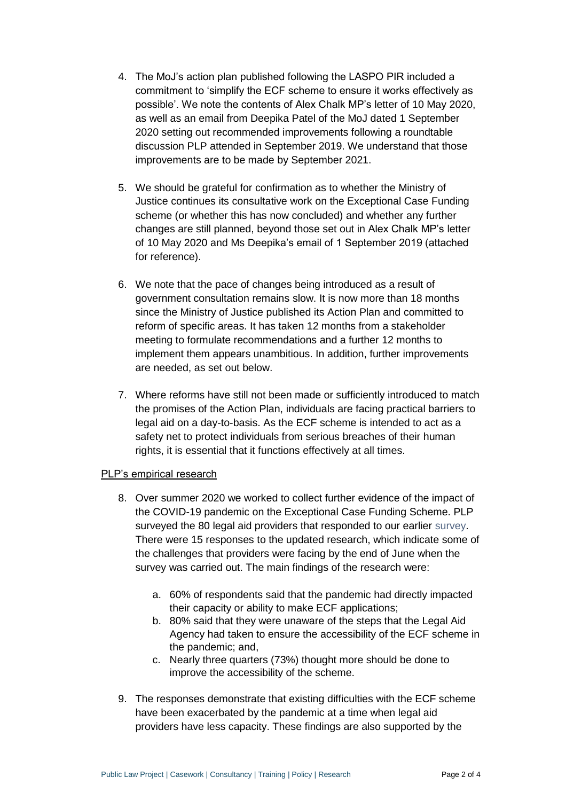- 4. The MoJ's action plan published following the LASPO PIR included a commitment to 'simplify the ECF scheme to ensure it works effectively as possible'. We note the contents of Alex Chalk MP's letter of 10 May 2020, as well as an email from Deepika Patel of the MoJ dated 1 September 2020 setting out recommended improvements following a roundtable discussion PLP attended in September 2019. We understand that those improvements are to be made by September 2021.
- 5. We should be grateful for confirmation as to whether the Ministry of Justice continues its consultative work on the Exceptional Case Funding scheme (or whether this has now concluded) and whether any further changes are still planned, beyond those set out in Alex Chalk MP's letter of 10 May 2020 and Ms Deepika's email of 1 September 2019 (attached for reference).
- 6. We note that the pace of changes being introduced as a result of government consultation remains slow. It is now more than 18 months since the Ministry of Justice published its Action Plan and committed to reform of specific areas. It has taken 12 months from a stakeholder meeting to formulate recommendations and a further 12 months to implement them appears unambitious. In addition, further improvements are needed, as set out below.
- 7. Where reforms have still not been made or sufficiently introduced to match the promises of the Action Plan, individuals are facing practical barriers to legal aid on a day-to-basis. As the ECF scheme is intended to act as a safety net to protect individuals from serious breaches of their human rights, it is essential that it functions effectively at all times.

## PLP's empirical research

- 8. Over summer 2020 we worked to collect further evidence of the impact of the COVID-19 pandemic on the Exceptional Case Funding Scheme. PLP surveyed the 80 legal aid providers that responded to our earlier [survey.](https://publiclawproject.org.uk/wp-content/uploads/2020/01/Improving-Exceptional-Case-Funding-Website-Publication-Version-docx.docx.pdf) There were 15 responses to the updated research, which indicate some of the challenges that providers were facing by the end of June when the survey was carried out. The main findings of the research were:
	- a. 60% of respondents said that the pandemic had directly impacted their capacity or ability to make ECF applications;
	- b. 80% said that they were unaware of the steps that the Legal Aid Agency had taken to ensure the accessibility of the ECF scheme in the pandemic; and,
	- c. Nearly three quarters (73%) thought more should be done to improve the accessibility of the scheme.
- 9. The responses demonstrate that existing difficulties with the ECF scheme have been exacerbated by the pandemic at a time when legal aid providers have less capacity. These findings are also supported by the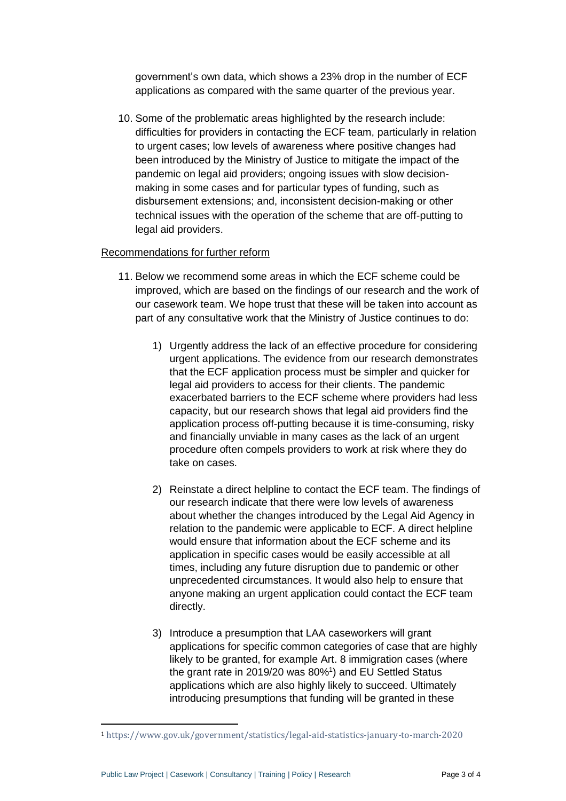government's own data, which shows a 23% drop in the number of ECF applications as compared with the same quarter of the previous year.

10. Some of the problematic areas highlighted by the research include: difficulties for providers in contacting the ECF team, particularly in relation to urgent cases; low levels of awareness where positive changes had been introduced by the Ministry of Justice to mitigate the impact of the pandemic on legal aid providers; ongoing issues with slow decisionmaking in some cases and for particular types of funding, such as disbursement extensions; and, inconsistent decision-making or other technical issues with the operation of the scheme that are off-putting to legal aid providers.

## Recommendations for further reform

- 11. Below we recommend some areas in which the ECF scheme could be improved, which are based on the findings of our research and the work of our casework team. We hope trust that these will be taken into account as part of any consultative work that the Ministry of Justice continues to do:
	- 1) Urgently address the lack of an effective procedure for considering urgent applications. The evidence from our research demonstrates that the ECF application process must be simpler and quicker for legal aid providers to access for their clients. The pandemic exacerbated barriers to the ECF scheme where providers had less capacity, but our research shows that legal aid providers find the application process off-putting because it is time-consuming, risky and financially unviable in many cases as the lack of an urgent procedure often compels providers to work at risk where they do take on cases.
	- 2) Reinstate a direct helpline to contact the ECF team. The findings of our research indicate that there were low levels of awareness about whether the changes introduced by the Legal Aid Agency in relation to the pandemic were applicable to ECF. A direct helpline would ensure that information about the ECF scheme and its application in specific cases would be easily accessible at all times, including any future disruption due to pandemic or other unprecedented circumstances. It would also help to ensure that anyone making an urgent application could contact the ECF team directly.
	- 3) Introduce a presumption that LAA caseworkers will grant applications for specific common categories of case that are highly likely to be granted, for example Art. 8 immigration cases (where the grant rate in 2019/20 was 80%<sup>1</sup>) and EU Settled Status applications which are also highly likely to succeed. Ultimately introducing presumptions that funding will be granted in these

 $\overline{a}$ 

<sup>1</sup> <https://www.gov.uk/government/statistics/legal-aid-statistics-january-to-march-2020>